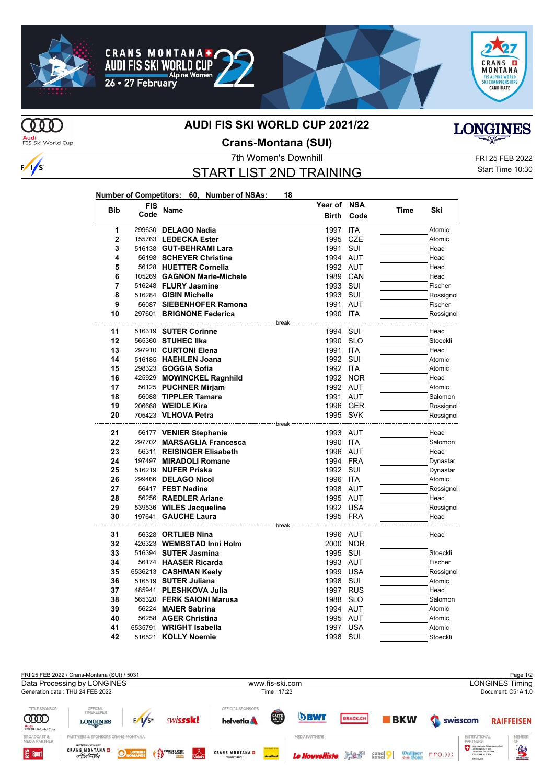





# **MD**

 $\frac{1}{s}$ 

#### **AUDI FIS SKI WORLD CUP 2021/22**



Audi<br>FIS Ski World Cup

## **Crans-Montana (SUI)**

## START LIST 2ND TRAINING

7th Women's Downhill FRI 25 FEB 2022 Start Time 10:30

| Number of Competitors: 60, Number of NSAs: |  | 18 |
|--------------------------------------------|--|----|
|                                            |  |    |

| <b>Bib</b>     | FIS  |                                                   | Year of           | <b>NSA</b> |      | Ski       |
|----------------|------|---------------------------------------------------|-------------------|------------|------|-----------|
|                | Code | Name                                              | <b>Birth</b>      | Code       | Time |           |
| 1              |      | 299630 DELAGO Nadia                               | 1997 ITA          |            |      | Atomic    |
| $\overline{2}$ |      | 155763 LEDECKA Ester                              | 1995              | CZE        |      | Atomic    |
| 3              |      | 516138 GUT-BEHRAMI Lara                           | 1991              | SUI        |      | Head      |
| 4              |      | 56198 SCHEYER Christine                           | 1994 AUT          |            |      | Head      |
| 5              |      | 56128 HUETTER Cornelia                            | 1992 AUT          |            |      | Head      |
| 6              |      | 105269 GAGNON Marie-Michele                       | 1989 CAN          |            |      | Head      |
| $\overline{7}$ |      | 516248 FLURY Jasmine                              | 1993              | SUI        |      | Fischer   |
| 8              |      | 516284 GISIN Michelle                             | 1993 SUI          |            |      | Rossignol |
| 9              |      | 56087 SIEBENHOFER Ramona                          | 1991              | AUT        |      | Fischer   |
| 10             |      | 297601 BRIGNONE Federica                          | 1990 ITA          |            |      | Rossignol |
| 11             |      | 516319 SUTER Corinne                              | break<br>1994 SUI |            |      | Head      |
| 12             |      | 565360 STUHEC IIka                                | 1990              | <b>SLO</b> |      | Stoeckli  |
| 13             |      | 297910 CURTONI Elena                              | 1991              | <b>ITA</b> |      | Head      |
| 14             |      | 516185 HAEHLEN Joana                              | 1992 SUI          |            |      | Atomic    |
| 15             |      | 298323 <b>GOGGIA Sofia</b>                        | 1992 ITA          |            |      | Atomic    |
| 16             |      | 425929 MOWINCKEL Ragnhild                         |                   | 1992 NOR   |      | Head      |
| 17             |      | 56125 PUCHNER Mirjam                              | 1992 AUT          |            |      | Atomic    |
| 18             |      | 56088 TIPPLER Tamara                              | 1991 AUT          |            |      | Salomon   |
| 19             |      | 206668 WEIDLE Kira                                |                   | 1996 GER   |      | Rossignol |
| 20             |      | 705423 VLHOVA Petra                               | 1995 SVK          |            |      | Rossignol |
|                |      |                                                   |                   |            |      |           |
| 21             |      | 56177 VENIER Stephanie                            | 1993 AUT          |            |      | Head      |
| 22             |      | 297702 MARSAGLIA Francesca                        | 1990 ITA          |            |      | Salomon   |
| 23             |      | 56311 REISINGER Elisabeth                         | 1996 AUT          |            |      | Head      |
| 24             |      | 197497 MIRADOLI Romane                            | 1994 FRA          |            |      | Dynastar  |
| 25             |      | 516219 NUFER Priska                               | 1992 SUI          |            |      | Dynastar  |
| 26             |      | 299466 DELAGO Nicol                               | 1996 ITA          |            |      | Atomic    |
| 27             |      | 56417 FEST Nadine                                 | 1998 AUT          |            |      | Rossignol |
| 28             |      | 56256 RAEDLER Ariane                              | 1995 AUT          |            |      | Head      |
| 29             |      | 539536 WILES Jacqueline                           | 1992 USA          |            |      | Rossignol |
| 30             |      | 197641 GAUCHE Laura<br>------------------ break - | 1995 FRA          |            |      | Head      |
| 31             |      | 56328 ORTLIEB Nina                                | 1996 AUT          |            |      | Head      |
| 32             |      | 426323 WEMBSTAD Inni Holm                         | 2000              | <b>NOR</b> |      |           |
| 33             |      | 516394 SUTER Jasmina                              | 1995 SUI          |            |      | Stoeckli  |
| 34             |      | 56174 HAASER Ricarda                              | 1993 AUT          |            |      | Fischer   |
| 35             |      | 6536213 CASHMAN Keely                             | 1999 USA          |            |      | Rossignol |
| 36             |      | 516519 SUTER Juliana                              | 1998 SUI          |            |      | Atomic    |
| 37             |      | 485941 PLESHKOVA Julia                            | 1997 RUS          |            |      | Head      |
| 38             |      | 565320 FERK SAIONI Marusa                         | 1988              | SLO        |      | Salomon   |
| 39             |      | 56224 MAIER Sabrina                               | 1994 AUT          |            |      | Atomic    |
| 40             |      | 56258 AGER Christina                              | 1995 AUT          |            |      | Atomic    |
| 41             |      | 6535791 WRIGHT Isabella                           | 1997              | <b>USA</b> |      | Atomic    |
| 42             |      | 516521 KOLLY Noemie                               | 1998              | SUI        |      | Stoeckli  |